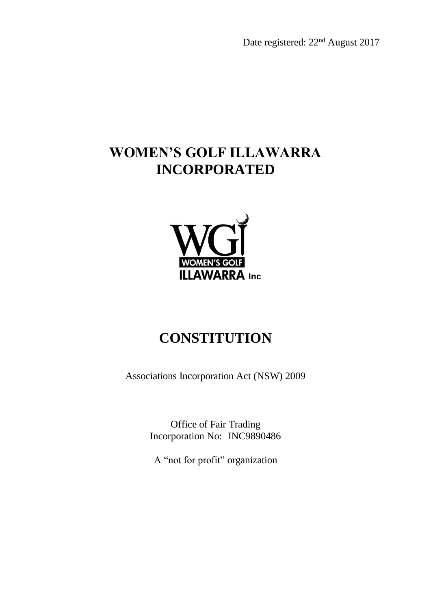Date registered: 22nd August 2017

# **WOMEN'S GOLF ILLAWARRA INCORPORATED**



# **CONSTITUTION**

Associations Incorporation Act (NSW) 2009

Office of Fair Trading Incorporation No: INC9890486

A "not for profit" organization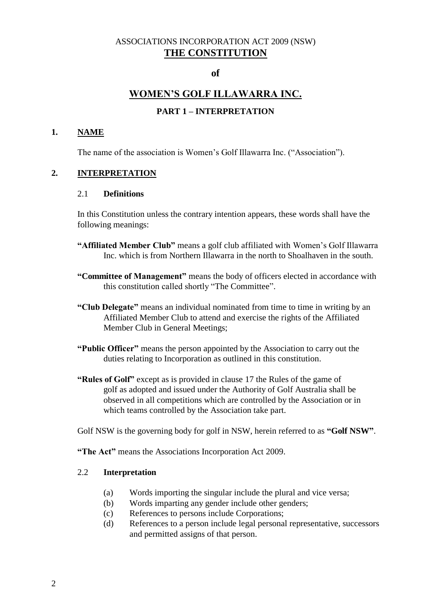## ASSOCIATIONS INCORPORATION ACT 2009 (NSW) **THE CONSTITUTION**

#### **of**

## **WOMEN'S GOLF ILLAWARRA INC.**

#### **PART 1 – INTERPRETATION**

#### **1. NAME**

The name of the association is Women's Golf Illawarra Inc. ("Association").

#### **2. INTERPRETATION**

#### 2.1 **Definitions**

In this Constitution unless the contrary intention appears, these words shall have the following meanings:

- **"Affiliated Member Club"** means a golf club affiliated with Women's Golf Illawarra Inc. which is from Northern Illawarra in the north to Shoalhaven in the south.
- **"Committee of Management"** means the body of officers elected in accordance with this constitution called shortly "The Committee".
- **"Club Delegate"** means an individual nominated from time to time in writing by an Affiliated Member Club to attend and exercise the rights of the Affiliated Member Club in General Meetings;
- **"Public Officer"** means the person appointed by the Association to carry out the duties relating to Incorporation as outlined in this constitution.
- **"Rules of Golf"** except as is provided in clause 17 the Rules of the game of golf as adopted and issued under the Authority of Golf Australia shall be observed in all competitions which are controlled by the Association or in which teams controlled by the Association take part.

Golf NSW is the governing body for golf in NSW, herein referred to as **"Golf NSW"**.

**"The Act"** means the Associations Incorporation Act 2009.

#### 2.2 **Interpretation**

- (a) Words importing the singular include the plural and vice versa;
- (b) Words imparting any gender include other genders;
- (c) References to persons include Corporations;
- (d) References to a person include legal personal representative, successors and permitted assigns of that person.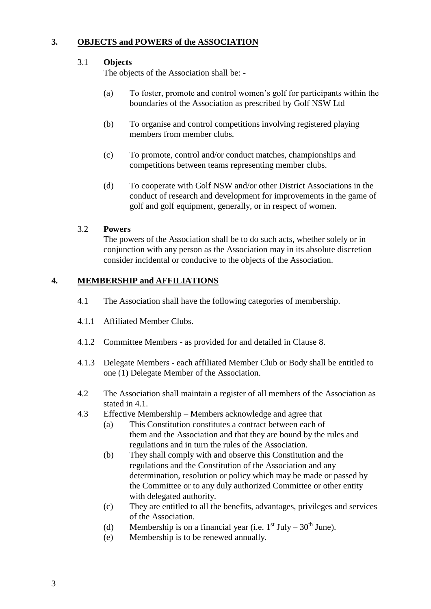## **3. OBJECTS and POWERS of the ASSOCIATION**

#### 3.1 **Objects**

The objects of the Association shall be: -

- (a) To foster, promote and control women's golf for participants within the boundaries of the Association as prescribed by Golf NSW Ltd
- (b) To organise and control competitions involving registered playing members from member clubs.
- (c) To promote, control and/or conduct matches, championships and competitions between teams representing member clubs.
- (d) To cooperate with Golf NSW and/or other District Associations in the conduct of research and development for improvements in the game of golf and golf equipment, generally, or in respect of women.

#### 3.2 **Powers**

The powers of the Association shall be to do such acts, whether solely or in conjunction with any person as the Association may in its absolute discretion consider incidental or conducive to the objects of the Association.

#### **4. MEMBERSHIP and AFFILIATIONS**

- 4.1 The Association shall have the following categories of membership.
- 4.1.1 Affiliated Member Clubs.
- 4.1.2 Committee Members as provided for and detailed in Clause 8.
- 4.1.3 Delegate Members each affiliated Member Club or Body shall be entitled to one (1) Delegate Member of the Association.
- 4.2 The Association shall maintain a register of all members of the Association as stated in 4.1.
- 4.3 Effective Membership Members acknowledge and agree that
	- (a) This Constitution constitutes a contract between each of them and the Association and that they are bound by the rules and regulations and in turn the rules of the Association.
	- (b) They shall comply with and observe this Constitution and the regulations and the Constitution of the Association and any determination, resolution or policy which may be made or passed by the Committee or to any duly authorized Committee or other entity with delegated authority.
	- (c) They are entitled to all the benefits, advantages, privileges and services of the Association.
	- (d) Membership is on a financial year (i.e.  $1<sup>st</sup> July 30<sup>th</sup> June$ ).
	- (e) Membership is to be renewed annually.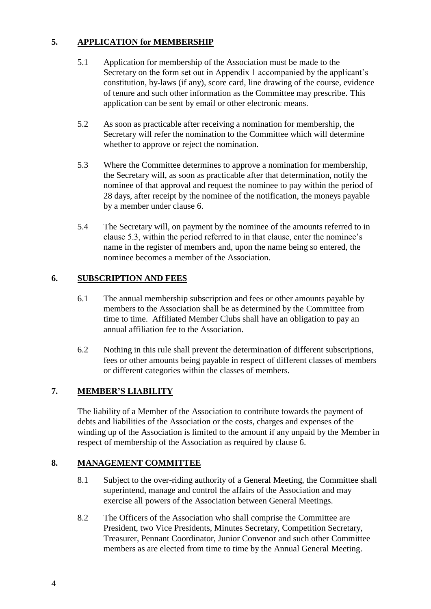## **5. APPLICATION for MEMBERSHIP**

- 5.1 Application for membership of the Association must be made to the Secretary on the form set out in Appendix 1 accompanied by the applicant's constitution, by-laws (if any), score card, line drawing of the course, evidence of tenure and such other information as the Committee may prescribe. This application can be sent by email or other electronic means.
- 5.2 As soon as practicable after receiving a nomination for membership, the Secretary will refer the nomination to the Committee which will determine whether to approve or reject the nomination.
- 5.3 Where the Committee determines to approve a nomination for membership, the Secretary will, as soon as practicable after that determination, notify the nominee of that approval and request the nominee to pay within the period of 28 days, after receipt by the nominee of the notification, the moneys payable by a member under clause 6.
- 5.4 The Secretary will, on payment by the nominee of the amounts referred to in clause 5.3, within the period referred to in that clause, enter the nominee's name in the register of members and, upon the name being so entered, the nominee becomes a member of the Association.

## **6. SUBSCRIPTION AND FEES**

- 6.1 The annual membership subscription and fees or other amounts payable by members to the Association shall be as determined by the Committee from time to time. Affiliated Member Clubs shall have an obligation to pay an annual affiliation fee to the Association.
- 6.2 Nothing in this rule shall prevent the determination of different subscriptions, fees or other amounts being payable in respect of different classes of members or different categories within the classes of members.

## **7. MEMBER'S LIABILITY**

The liability of a Member of the Association to contribute towards the payment of debts and liabilities of the Association or the costs, charges and expenses of the winding up of the Association is limited to the amount if any unpaid by the Member in respect of membership of the Association as required by clause 6.

#### **8. MANAGEMENT COMMITTEE**

- 8.1 Subject to the over-riding authority of a General Meeting, the Committee shall superintend, manage and control the affairs of the Association and may exercise all powers of the Association between General Meetings.
- 8.2 The Officers of the Association who shall comprise the Committee are President, two Vice Presidents, Minutes Secretary, Competition Secretary, Treasurer, Pennant Coordinator, Junior Convenor and such other Committee members as are elected from time to time by the Annual General Meeting.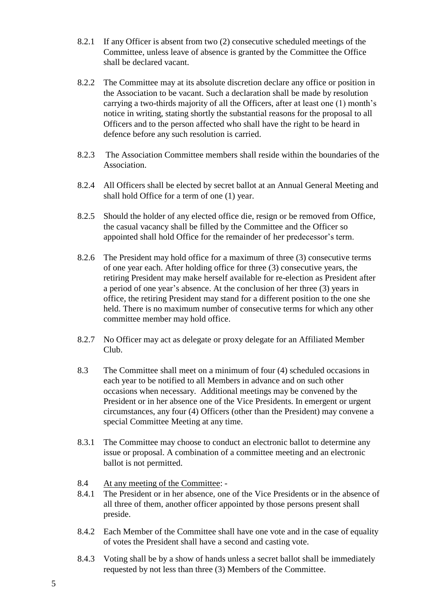- 8.2.1 If any Officer is absent from two (2) consecutive scheduled meetings of the Committee, unless leave of absence is granted by the Committee the Office shall be declared vacant.
- 8.2.2 The Committee may at its absolute discretion declare any office or position in the Association to be vacant. Such a declaration shall be made by resolution carrying a two-thirds majority of all the Officers, after at least one (1) month's notice in writing, stating shortly the substantial reasons for the proposal to all Officers and to the person affected who shall have the right to be heard in defence before any such resolution is carried.
- 8.2.3 The Association Committee members shall reside within the boundaries of the Association.
- 8.2.4 All Officers shall be elected by secret ballot at an Annual General Meeting and shall hold Office for a term of one (1) year.
- 8.2.5 Should the holder of any elected office die, resign or be removed from Office, the casual vacancy shall be filled by the Committee and the Officer so appointed shall hold Office for the remainder of her predecessor's term.
- 8.2.6 The President may hold office for a maximum of three (3) consecutive terms of one year each. After holding office for three (3) consecutive years, the retiring President may make herself available for re-election as President after a period of one year's absence. At the conclusion of her three (3) years in office, the retiring President may stand for a different position to the one she held. There is no maximum number of consecutive terms for which any other committee member may hold office.
- 8.2.7 No Officer may act as delegate or proxy delegate for an Affiliated Member Club.
- 8.3 The Committee shall meet on a minimum of four (4) scheduled occasions in each year to be notified to all Members in advance and on such other occasions when necessary. Additional meetings may be convened by the President or in her absence one of the Vice Presidents. In emergent or urgent circumstances, any four (4) Officers (other than the President) may convene a special Committee Meeting at any time.
- 8.3.1 The Committee may choose to conduct an electronic ballot to determine any issue or proposal. A combination of a committee meeting and an electronic ballot is not permitted.
- 8.4 At any meeting of the Committee: -
- 8.4.1 The President or in her absence, one of the Vice Presidents or in the absence of all three of them, another officer appointed by those persons present shall preside.
- 8.4.2 Each Member of the Committee shall have one vote and in the case of equality of votes the President shall have a second and casting vote.
- 8.4.3 Voting shall be by a show of hands unless a secret ballot shall be immediately requested by not less than three (3) Members of the Committee.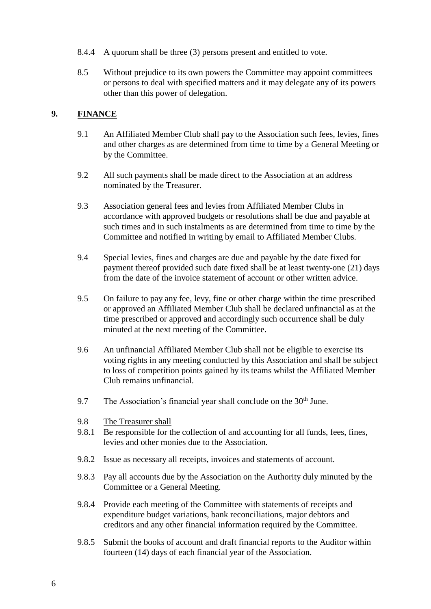- 8.4.4 A quorum shall be three (3) persons present and entitled to vote.
- 8.5 Without prejudice to its own powers the Committee may appoint committees or persons to deal with specified matters and it may delegate any of its powers other than this power of delegation.

## **9. FINANCE**

- 9.1 An Affiliated Member Club shall pay to the Association such fees, levies, fines and other charges as are determined from time to time by a General Meeting or by the Committee.
- 9.2 All such payments shall be made direct to the Association at an address nominated by the Treasurer.
- 9.3 Association general fees and levies from Affiliated Member Clubs in accordance with approved budgets or resolutions shall be due and payable at such times and in such instalments as are determined from time to time by the Committee and notified in writing by email to Affiliated Member Clubs.
- 9.4 Special levies, fines and charges are due and payable by the date fixed for payment thereof provided such date fixed shall be at least twenty-one (21) days from the date of the invoice statement of account or other written advice.
- 9.5 On failure to pay any fee, levy, fine or other charge within the time prescribed or approved an Affiliated Member Club shall be declared unfinancial as at the time prescribed or approved and accordingly such occurrence shall be duly minuted at the next meeting of the Committee.
- 9.6 An unfinancial Affiliated Member Club shall not be eligible to exercise its voting rights in any meeting conducted by this Association and shall be subject to loss of competition points gained by its teams whilst the Affiliated Member Club remains unfinancial.
- 9.7 The Association's financial year shall conclude on the  $30<sup>th</sup>$  June.
- 9.8 The Treasurer shall
- 9.8.1 Be responsible for the collection of and accounting for all funds, fees, fines, levies and other monies due to the Association.
- 9.8.2 Issue as necessary all receipts, invoices and statements of account.
- 9.8.3 Pay all accounts due by the Association on the Authority duly minuted by the Committee or a General Meeting.
- 9.8.4 Provide each meeting of the Committee with statements of receipts and expenditure budget variations, bank reconciliations, major debtors and creditors and any other financial information required by the Committee.
- 9.8.5 Submit the books of account and draft financial reports to the Auditor within fourteen (14) days of each financial year of the Association.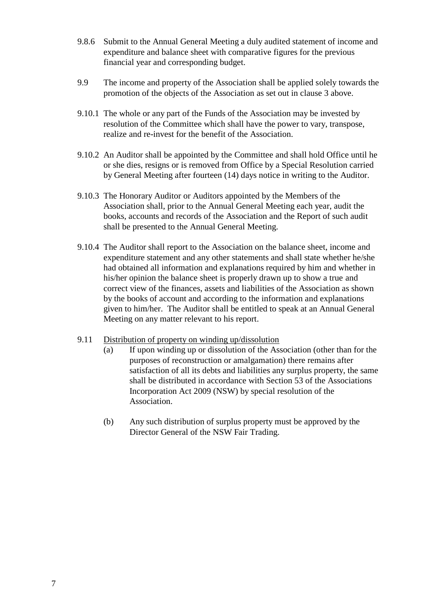- 9.8.6 Submit to the Annual General Meeting a duly audited statement of income and expenditure and balance sheet with comparative figures for the previous financial year and corresponding budget.
- 9.9 The income and property of the Association shall be applied solely towards the promotion of the objects of the Association as set out in clause 3 above.
- 9.10.1 The whole or any part of the Funds of the Association may be invested by resolution of the Committee which shall have the power to vary, transpose, realize and re-invest for the benefit of the Association.
- 9.10.2 An Auditor shall be appointed by the Committee and shall hold Office until he or she dies, resigns or is removed from Office by a Special Resolution carried by General Meeting after fourteen (14) days notice in writing to the Auditor.
- 9.10.3 The Honorary Auditor or Auditors appointed by the Members of the Association shall, prior to the Annual General Meeting each year, audit the books, accounts and records of the Association and the Report of such audit shall be presented to the Annual General Meeting.
- 9.10.4 The Auditor shall report to the Association on the balance sheet, income and expenditure statement and any other statements and shall state whether he/she had obtained all information and explanations required by him and whether in his/her opinion the balance sheet is properly drawn up to show a true and correct view of the finances, assets and liabilities of the Association as shown by the books of account and according to the information and explanations given to him/her. The Auditor shall be entitled to speak at an Annual General Meeting on any matter relevant to his report.
- 9.11 Distribution of property on winding up/dissolution
	- (a) If upon winding up or dissolution of the Association (other than for the purposes of reconstruction or amalgamation) there remains after satisfaction of all its debts and liabilities any surplus property, the same shall be distributed in accordance with Section 53 of the Associations Incorporation Act 2009 (NSW) by special resolution of the Association.
	- (b) Any such distribution of surplus property must be approved by the Director General of the NSW Fair Trading.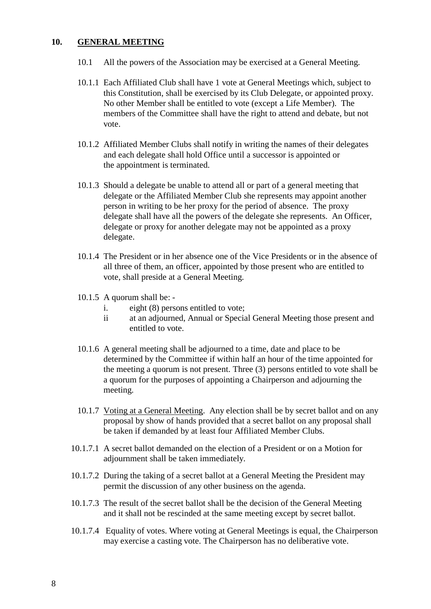#### **10. GENERAL MEETING**

- 10.1 All the powers of the Association may be exercised at a General Meeting.
- 10.1.1 Each Affiliated Club shall have 1 vote at General Meetings which, subject to this Constitution, shall be exercised by its Club Delegate, or appointed proxy. No other Member shall be entitled to vote (except a Life Member). The members of the Committee shall have the right to attend and debate, but not vote.
- 10.1.2 Affiliated Member Clubs shall notify in writing the names of their delegates and each delegate shall hold Office until a successor is appointed or the appointment is terminated.
- 10.1.3 Should a delegate be unable to attend all or part of a general meeting that delegate or the Affiliated Member Club she represents may appoint another person in writing to be her proxy for the period of absence. The proxy delegate shall have all the powers of the delegate she represents. An Officer, delegate or proxy for another delegate may not be appointed as a proxy delegate.
- 10.1.4 The President or in her absence one of the Vice Presidents or in the absence of all three of them, an officer, appointed by those present who are entitled to vote, shall preside at a General Meeting.
- 10.1.5 A quorum shall be:
	- i. eight (8) persons entitled to vote;
	- ii at an adjourned, Annual or Special General Meeting those present and entitled to vote.
- 10.1.6 A general meeting shall be adjourned to a time, date and place to be determined by the Committee if within half an hour of the time appointed for the meeting a quorum is not present. Three (3) persons entitled to vote shall be a quorum for the purposes of appointing a Chairperson and adjourning the meeting.
- 10.1.7 Voting at a General Meeting. Any election shall be by secret ballot and on any proposal by show of hands provided that a secret ballot on any proposal shall be taken if demanded by at least four Affiliated Member Clubs.
- 10.1.7.1 A secret ballot demanded on the election of a President or on a Motion for adjournment shall be taken immediately.
- 10.1.7.2 During the taking of a secret ballot at a General Meeting the President may permit the discussion of any other business on the agenda.
- 10.1.7.3 The result of the secret ballot shall be the decision of the General Meeting and it shall not be rescinded at the same meeting except by secret ballot.
- 10.1.7.4 Equality of votes. Where voting at General Meetings is equal, the Chairperson may exercise a casting vote. The Chairperson has no deliberative vote.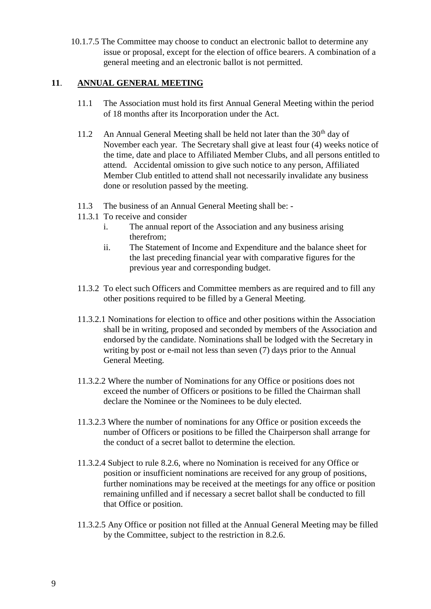10.1.7.5 The Committee may choose to conduct an electronic ballot to determine any issue or proposal, except for the election of office bearers. A combination of a general meeting and an electronic ballot is not permitted.

## **11**. **ANNUAL GENERAL MEETING**

- 11.1 The Association must hold its first Annual General Meeting within the period of 18 months after its Incorporation under the Act.
- 11.2 An Annual General Meeting shall be held not later than the  $30<sup>th</sup>$  day of November each year. The Secretary shall give at least four (4) weeks notice of the time, date and place to Affiliated Member Clubs, and all persons entitled to attend. Accidental omission to give such notice to any person, Affiliated Member Club entitled to attend shall not necessarily invalidate any business done or resolution passed by the meeting.
- 11.3 The business of an Annual General Meeting shall be: -
- 11.3.1 To receive and consider
	- i. The annual report of the Association and any business arising therefrom;
	- ii. The Statement of Income and Expenditure and the balance sheet for the last preceding financial year with comparative figures for the previous year and corresponding budget.
- 11.3.2 To elect such Officers and Committee members as are required and to fill any other positions required to be filled by a General Meeting.
- 11.3.2.1 Nominations for election to office and other positions within the Association shall be in writing, proposed and seconded by members of the Association and endorsed by the candidate. Nominations shall be lodged with the Secretary in writing by post or e-mail not less than seven (7) days prior to the Annual General Meeting.
- 11.3.2.2 Where the number of Nominations for any Office or positions does not exceed the number of Officers or positions to be filled the Chairman shall declare the Nominee or the Nominees to be duly elected.
- 11.3.2.3 Where the number of nominations for any Office or position exceeds the number of Officers or positions to be filled the Chairperson shall arrange for the conduct of a secret ballot to determine the election.
- 11.3.2.4 Subject to rule 8.2.6, where no Nomination is received for any Office or position or insufficient nominations are received for any group of positions, further nominations may be received at the meetings for any office or position remaining unfilled and if necessary a secret ballot shall be conducted to fill that Office or position.
- 11.3.2.5 Any Office or position not filled at the Annual General Meeting may be filled by the Committee, subject to the restriction in 8.2.6.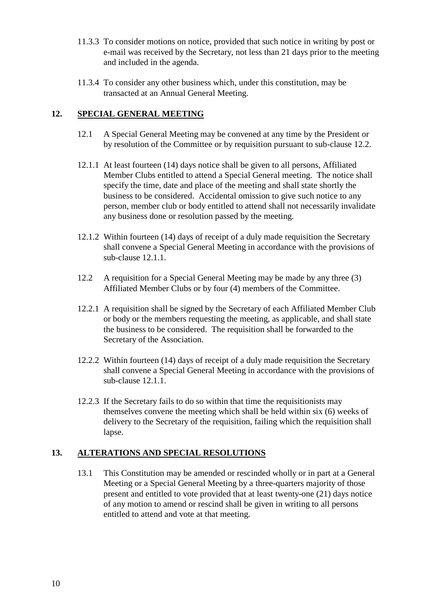- 11.3.3 To consider motions on notice, provided that such notice in writing by post or e-mail was received by the Secretary, not less than 21 days prior to the meeting and included in the agenda.
- 11.3.4 To consider any other business which, under this constitution, may be transacted at an Annual General Meeting.

## **12. SPECIAL GENERAL MEETING**

- 12.1 A Special General Meeting may be convened at any time by the President or by resolution of the Committee or by requisition pursuant to sub-clause 12.2.
- 12.1.1 At least fourteen (14) days notice shall be given to all persons, Affiliated Member Clubs entitled to attend a Special General meeting. The notice shall specify the time, date and place of the meeting and shall state shortly the business to be considered. Accidental omission to give such notice to any person, member club or body entitled to attend shall not necessarily invalidate any business done or resolution passed by the meeting.
- 12.1.2 Within fourteen (14) days of receipt of a duly made requisition the Secretary shall convene a Special General Meeting in accordance with the provisions of sub-clause 12.1.1.
- 12.2 A requisition for a Special General Meeting may be made by any three (3) Affiliated Member Clubs or by four (4) members of the Committee.
- 12.2.1 A requisition shall be signed by the Secretary of each Affiliated Member Club or body or the members requesting the meeting, as applicable, and shall state the business to be considered. The requisition shall be forwarded to the Secretary of the Association.
- 12.2.2 Within fourteen (14) days of receipt of a duly made requisition the Secretary shall convene a Special General Meeting in accordance with the provisions of sub-clause 12.1.1.
- 12.2.3 If the Secretary fails to do so within that time the requisitionists may themselves convene the meeting which shall be held within six (6) weeks of delivery to the Secretary of the requisition, failing which the requisition shall lapse.

#### **13. ALTERATIONS AND SPECIAL RESOLUTIONS**

13.1 This Constitution may be amended or rescinded wholly or in part at a General Meeting or a Special General Meeting by a three-quarters majority of those present and entitled to vote provided that at least twenty-one (21) days notice of any motion to amend or rescind shall be given in writing to all persons entitled to attend and vote at that meeting.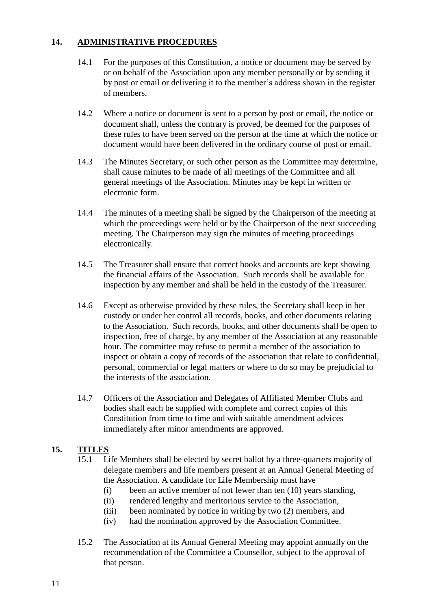## **14. ADMINISTRATIVE PROCEDURES**

- 14.1 For the purposes of this Constitution, a notice or document may be served by or on behalf of the Association upon any member personally or by sending it by post or email or delivering it to the member's address shown in the register of members.
- 14.2 Where a notice or document is sent to a person by post or email, the notice or document shall, unless the contrary is proved, be deemed for the purposes of these rules to have been served on the person at the time at which the notice or document would have been delivered in the ordinary course of post or email.
- 14.3 The Minutes Secretary, or such other person as the Committee may determine, shall cause minutes to be made of all meetings of the Committee and all general meetings of the Association. Minutes may be kept in written or electronic form.
- 14.4 The minutes of a meeting shall be signed by the Chairperson of the meeting at which the proceedings were held or by the Chairperson of the next succeeding meeting. The Chairperson may sign the minutes of meeting proceedings electronically.
- 14.5 The Treasurer shall ensure that correct books and accounts are kept showing the financial affairs of the Association. Such records shall be available for inspection by any member and shall be held in the custody of the Treasurer.
- 14.6 Except as otherwise provided by these rules, the Secretary shall keep in her custody or under her control all records, books, and other documents relating to the Association. Such records, books, and other documents shall be open to inspection, free of charge, by any member of the Association at any reasonable hour. The committee may refuse to permit a member of the association to inspect or obtain a copy of records of the association that relate to confidential, personal, commercial or legal matters or where to do so may be prejudicial to the interests of the association.
- 14.7 Officers of the Association and Delegates of Affiliated Member Clubs and bodies shall each be supplied with complete and correct copies of this Constitution from time to time and with suitable amendment advices immediately after minor amendments are approved.

#### **15. TITLES**

- 15.1 Life Members shall be elected by secret ballot by a three-quarters majority of delegate members and life members present at an Annual General Meeting of the Association. A candidate for Life Membership must have
	- (i) been an active member of not fewer than ten (10) years standing,
	- (ii) rendered lengthy and meritorious service to the Association,
	- (iii) been nominated by notice in writing by two (2) members, and
	- (iv) had the nomination approved by the Association Committee.
- 15.2 The Association at its Annual General Meeting may appoint annually on the recommendation of the Committee a Counsellor, subject to the approval of that person.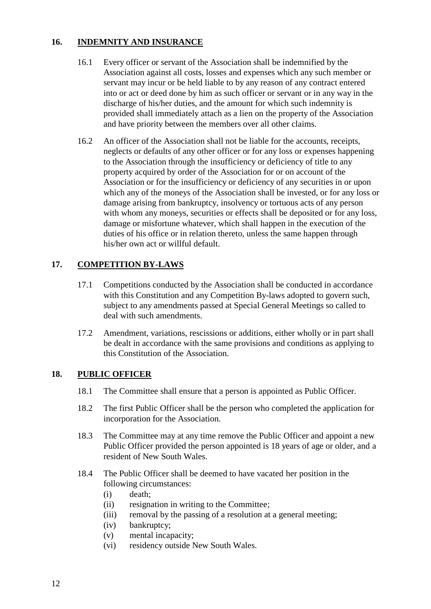## **16. INDEMNITY AND INSURANCE**

- 16.1 Every officer or servant of the Association shall be indemnified by the Association against all costs, losses and expenses which any such member or servant may incur or be held liable to by any reason of any contract entered into or act or deed done by him as such officer or servant or in any way in the discharge of his/her duties, and the amount for which such indemnity is provided shall immediately attach as a lien on the property of the Association and have priority between the members over all other claims.
- 16.2 An officer of the Association shall not be liable for the accounts, receipts, neglects or defaults of any other officer or for any loss or expenses happening to the Association through the insufficiency or deficiency of title to any property acquired by order of the Association for or on account of the Association or for the insufficiency or deficiency of any securities in or upon which any of the moneys of the Association shall be invested, or for any loss or damage arising from bankruptcy, insolvency or tortuous acts of any person with whom any moneys, securities or effects shall be deposited or for any loss, damage or misfortune whatever, which shall happen in the execution of the duties of his office or in relation thereto, unless the same happen through his/her own act or willful default.

## **17. COMPETITION BY-LAWS**

- 17.1 Competitions conducted by the Association shall be conducted in accordance with this Constitution and any Competition By-laws adopted to govern such, subject to any amendments passed at Special General Meetings so called to deal with such amendments.
- 17.2 Amendment, variations, rescissions or additions, either wholly or in part shall be dealt in accordance with the same provisions and conditions as applying to this Constitution of the Association.

#### **18. PUBLIC OFFICER**

- 18.1 The Committee shall ensure that a person is appointed as Public Officer.
- 18.2 The first Public Officer shall be the person who completed the application for incorporation for the Association.
- 18.3 The Committee may at any time remove the Public Officer and appoint a new Public Officer provided the person appointed is 18 years of age or older, and a resident of New South Wales.
- 18.4 The Public Officer shall be deemed to have vacated her position in the following circumstances:
	- (i) death;
	- (ii) resignation in writing to the Committee;
	- (iii) removal by the passing of a resolution at a general meeting;
	- (iv) bankruptcy;
	- (v) mental incapacity;
	- (vi) residency outside New South Wales.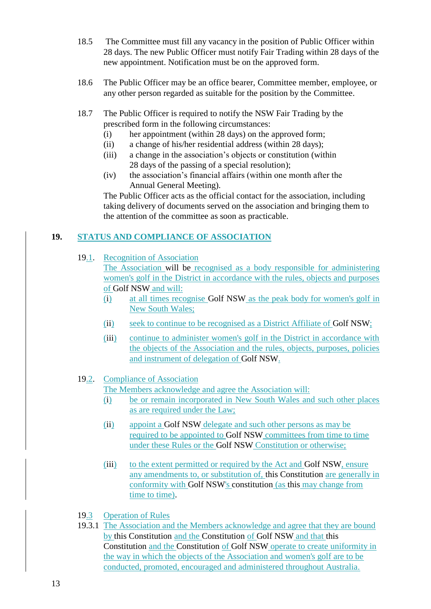- 18.5 The Committee must fill any vacancy in the position of Public Officer within 28 days. The new Public Officer must notify Fair Trading within 28 days of the new appointment. Notification must be on the approved form.
- 18.6 The Public Officer may be an office bearer, Committee member, employee, or any other person regarded as suitable for the position by the Committee.
- 18.7 The Public Officer is required to notify the NSW Fair Trading by the prescribed form in the following circumstances:
	- (i) her appointment (within 28 days) on the approved form;
	- (ii) a change of his/her residential address (within 28 days);
	- (iii) a change in the association's objects or constitution (within 28 days of the passing of a special resolution);
	- (iv) the association's financial affairs (within one month after the Annual General Meeting).

The Public Officer acts as the official contact for the association, including taking delivery of documents served on the association and bringing them to the attention of the committee as soon as practicable.

## **19. STATUS AND COMPLIANCE OF ASSOCIATION**

19.1. Recognition of Association

The Association will be recognised as a body responsible for administering women's golf in the District in accordance with the rules, objects and purposes of Golf NSW and will:

- (i) at all times recognise Golf NSW as the peak body for women's golf in New South Wales;
- (ii) seek to continue to be recognised as a District Affiliate of Golf NSW;
- (iii) continue to administer women's golf in the District in accordance with the objects of the Association and the rules, objects, purposes, policies and instrument of delegation of Golf NSW.

#### 19.2. Compliance of Association

The Members acknowledge and agree the Association will:

- (i) be or remain incorporated in New South Wales and such other places as are required under the Law;
- (ii) appoint a Golf NSW delegate and such other persons as may be required to be appointed to Golf NSW committees from time to time under these Rules or the Golf NSW Constitution or otherwise;
- (iii) to the extent permitted or required by the Act and Golf NSW, ensure any amendments to, or substitution of, this Constitution are generally in conformity with Golf NSW's constitution (as this may change from time to time).
- 19.3 Operation of Rules
- 19.3.1 The Association and the Members acknowledge and agree that they are bound by this Constitution and the Constitution of Golf NSW and that this Constitution and the Constitution of Golf NSW operate to create uniformity in the way in which the objects of the Association and women's golf are to be conducted, promoted, encouraged and administered throughout Australia.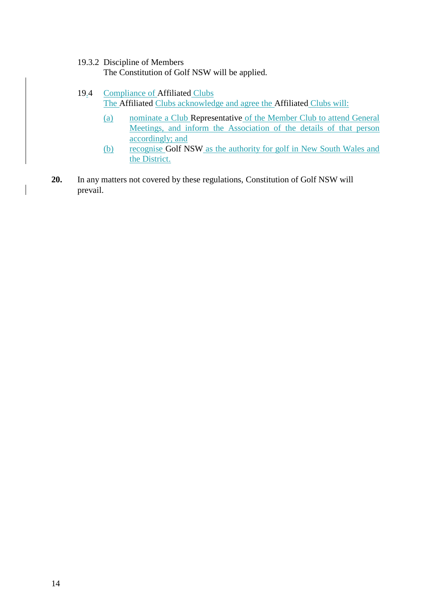#### 19.3.2 Discipline of Members

The Constitution of Golf NSW will be applied.

#### 19.4 Compliance of Affiliated Clubs

The Affiliated Clubs acknowledge and agree the Affiliated Clubs will:

- (a) nominate a Club Representative of the Member Club to attend General Meetings, and inform the Association of the details of that person accordingly; and
- (b) recognise Golf NSW as the authority for golf in New South Wales and the District.
- **20.** In any matters not covered by these regulations, Constitution of Golf NSW will prevail.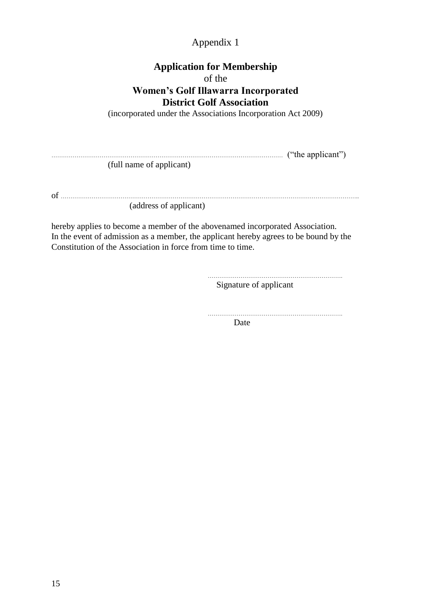## Appendix 1

## **Application for Membership** of the **Women's Golf Illawarra Incorporated District Golf Association**

(incorporated under the Associations Incorporation Act 2009)

………………………………………………………………………………………………………… ("the applicant") (full name of applicant)

of ……………………………………………………………………………………………………………………………………….. (address of applicant)

hereby applies to become a member of the abovenamed incorporated Association. In the event of admission as a member, the applicant hereby agrees to be bound by the Constitution of the Association in force from time to time.

…………………………………………………………….

Signature of applicant

…………………………………………………………….

Date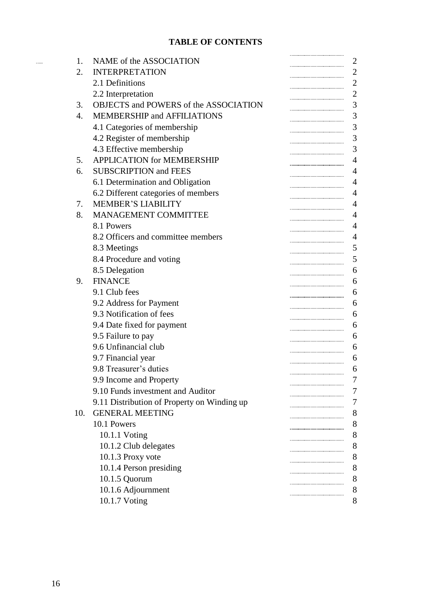## **TABLE OF CONTENTS**

| 1.  | NAME of the ASSOCIATION                     | 2              |
|-----|---------------------------------------------|----------------|
| 2.  | <b>INTERPRETATION</b>                       | $\mathbf{2}$   |
|     | 2.1 Definitions                             | $\overline{2}$ |
|     | 2.2 Interpretation                          | $\overline{2}$ |
| 3.  | OBJECTS and POWERS of the ASSOCIATION       | 3              |
| 4.  | <b>MEMBERSHIP and AFFILIATIONS</b>          | 3              |
|     | 4.1 Categories of membership                | 3              |
|     | 4.2 Register of membership                  | 3              |
|     | 4.3 Effective membership                    | 3              |
| 5.  | <b>APPLICATION for MEMBERSHIP</b>           | 4              |
| 6.  | <b>SUBSCRIPTION and FEES</b>                | $\overline{4}$ |
|     | 6.1 Determination and Obligation            | $\overline{4}$ |
|     | 6.2 Different categories of members         | $\overline{4}$ |
| 7.  | <b>MEMBER'S LIABILITY</b>                   | 4              |
| 8.  | MANAGEMENT COMMITTEE                        | $\overline{4}$ |
|     | 8.1 Powers                                  | $\overline{4}$ |
|     | 8.2 Officers and committee members          | $\overline{4}$ |
|     | 8.3 Meetings                                | 5              |
|     | 8.4 Procedure and voting                    | 5              |
|     | 8.5 Delegation                              | 6              |
| 9.  | <b>FINANCE</b>                              | 6              |
|     | 9.1 Club fees                               | 6              |
|     | 9.2 Address for Payment                     | 6              |
|     | 9.3 Notification of fees                    | 6              |
|     | 9.4 Date fixed for payment                  | 6              |
|     | 9.5 Failure to pay                          | 6              |
|     | 9.6 Unfinancial club                        | 6              |
|     | 9.7 Financial year                          | 6              |
|     | 9.8 Treasurer's duties                      | 6              |
|     | 9.9 Income and Property                     |                |
|     | 9.10 Funds investment and Auditor           | Ί              |
|     | 9.11 Distribution of Property on Winding up | 7              |
| 10. | <b>GENERAL MEETING</b>                      | 8              |
|     | 10.1 Powers                                 | 8              |
|     | 10.1.1 Voting                               | 8              |
|     | 10.1.2 Club delegates                       | 8              |
|     | 10.1.3 Proxy vote                           | 8              |
|     | 10.1.4 Person presiding                     | 8              |
|     | 10.1.5 Quorum                               | 8              |
|     | 10.1.6 Adjournment                          | 8              |
|     | 10.1.7 Voting                               | 8              |

 $\ldots \ldots$